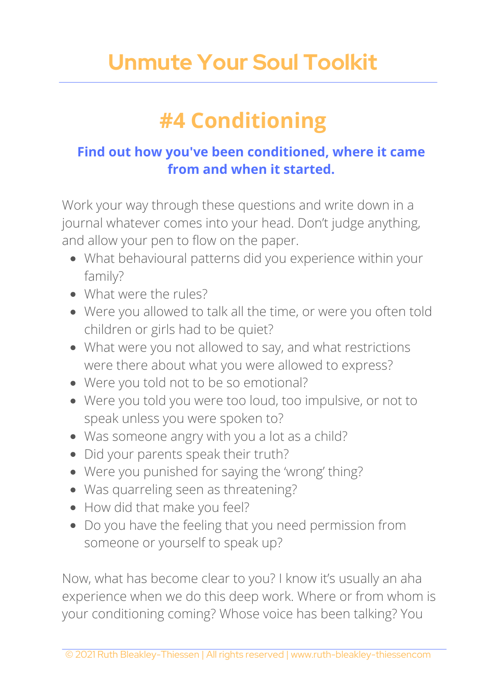## **Unmute Your Soul Toolkit**

## **#4 Conditioning**

## **Find out how you've been conditioned, where it came from and when it started.**

Work your way through these questions and write down in a journal whatever comes into your head. Don't judge anything, and allow your pen to flow on the paper.

- What behavioural patterns did you experience within your family?
- What were the rules?
- Were you allowed to talk all the time, or were you often told children or girls had to be quiet?
- What were you not allowed to say, and what restrictions were there about what you were allowed to express?
- Were you told not to be so emotional?
- Were you told you were too loud, too impulsive, or not to speak unless you were spoken to?
- Was someone angry with you a lot as a child?
- Did your parents speak their truth?
- Were you punished for saying the 'wrong' thing?
- Was quarreling seen as threatening?
- How did that make you feel?
- Do you have the feeling that you need permission from someone or yourself to speak up?

Now, what has become clear to you? I know it's usually an aha experience when we do this deep work. Where or from whom is your conditioning coming? Whose voice has been talking? You